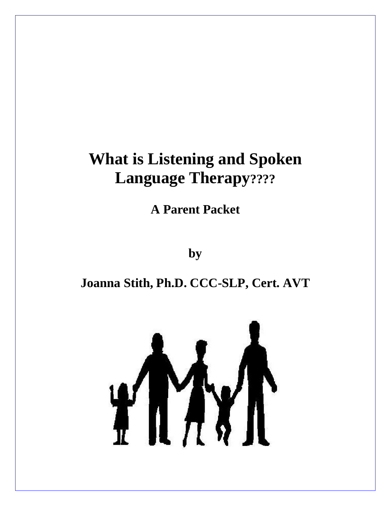# **What is Listening and Spoken Language Therapy????**

**A Parent Packet**

**by**

### **Joanna Stith, Ph.D. CCC-SLP, Cert. AVT**

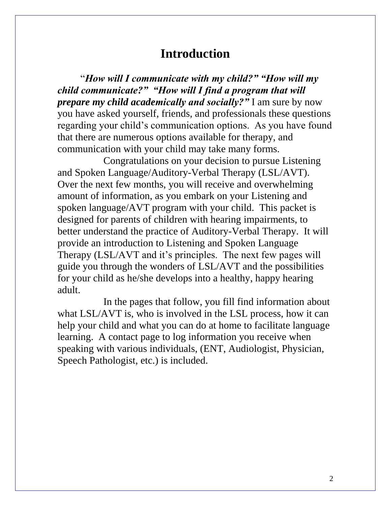### **Introduction**

"*How will I communicate with my child?" "How will my child communicate?" "How will I find a program that will prepare my child academically and socially?"* I am sure by now you have asked yourself, friends, and professionals these questions regarding your child's communication options. As you have found that there are numerous options available for therapy, and communication with your child may take many forms.

Congratulations on your decision to pursue Listening and Spoken Language/Auditory-Verbal Therapy (LSL/AVT). Over the next few months, you will receive and overwhelming amount of information, as you embark on your Listening and spoken language/AVT program with your child. This packet is designed for parents of children with hearing impairments, to better understand the practice of Auditory-Verbal Therapy. It will provide an introduction to Listening and Spoken Language Therapy (LSL/AVT and it's principles. The next few pages will guide you through the wonders of LSL/AVT and the possibilities for your child as he/she develops into a healthy, happy hearing adult.

In the pages that follow, you fill find information about what LSL/AVT is, who is involved in the LSL process, how it can help your child and what you can do at home to facilitate language learning. A contact page to log information you receive when speaking with various individuals, (ENT, Audiologist, Physician, Speech Pathologist, etc.) is included.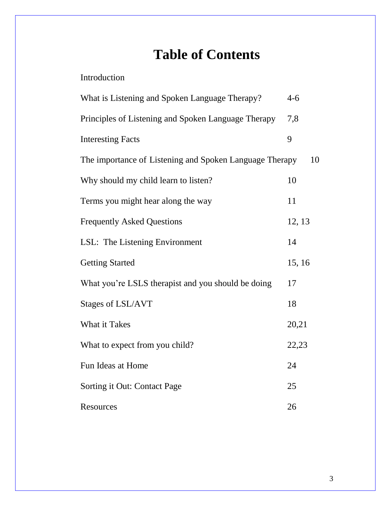# **Table of Contents**

| Introduction |
|--------------|
|--------------|

| What is Listening and Spoken Language Therapy?          | $4 - 6$ |
|---------------------------------------------------------|---------|
| Principles of Listening and Spoken Language Therapy     | 7,8     |
| <b>Interesting Facts</b>                                | 9       |
| The importance of Listening and Spoken Language Therapy | 10      |
| Why should my child learn to listen?                    | 10      |
| Terms you might hear along the way                      | 11      |
| <b>Frequently Asked Questions</b>                       | 12, 13  |
| LSL: The Listening Environment                          | 14      |
| <b>Getting Started</b>                                  | 15, 16  |
| What you're LSLS therapist and you should be doing      | 17      |
| <b>Stages of LSL/AVT</b>                                | 18      |
| What it Takes                                           | 20,21   |
| What to expect from you child?                          | 22,23   |
| Fun Ideas at Home                                       | 24      |
| Sorting it Out: Contact Page                            | 25      |
| <b>Resources</b>                                        | 26      |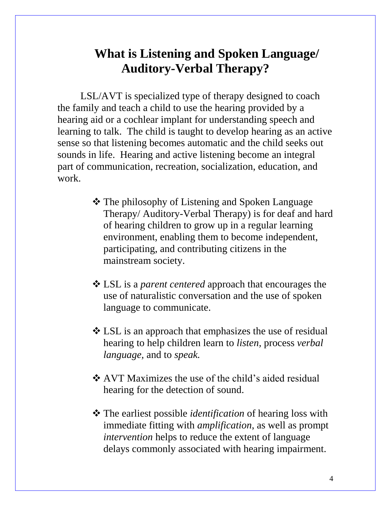## **What is Listening and Spoken Language/ Auditory-Verbal Therapy?**

LSL/AVT is specialized type of therapy designed to coach the family and teach a child to use the hearing provided by a hearing aid or a cochlear implant for understanding speech and learning to talk. The child is taught to develop hearing as an active sense so that listening becomes automatic and the child seeks out sounds in life. Hearing and active listening become an integral part of communication, recreation, socialization, education, and work.

- The philosophy of Listening and Spoken Language Therapy/ Auditory-Verbal Therapy) is for deaf and hard of hearing children to grow up in a regular learning environment, enabling them to become independent, participating, and contributing citizens in the mainstream society.
- LSL is a *parent centered* approach that encourages the use of naturalistic conversation and the use of spoken language to communicate.
- LSL is an approach that emphasizes the use of residual hearing to help children learn to *listen,* process *verbal language,* and to *speak.*
- ❖ AVT Maximizes the use of the child's aided residual hearing for the detection of sound.
- The earliest possible *identification* of hearing loss with immediate fitting with *amplification*, as well as prompt *intervention* helps to reduce the extent of language delays commonly associated with hearing impairment.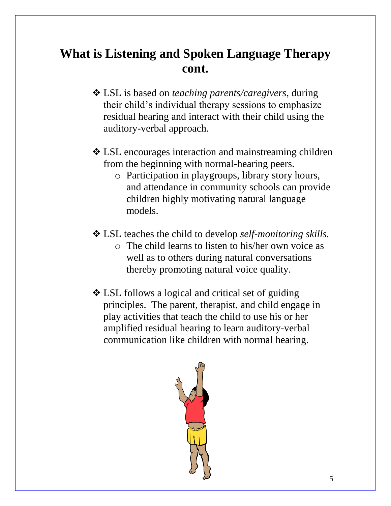# **What is Listening and Spoken Language Therapy cont.**

- LSL is based on *teaching parents/caregivers*, during their child's individual therapy sessions to emphasize residual hearing and interact with their child using the auditory-verbal approach.
- LSL encourages interaction and mainstreaming children from the beginning with normal-hearing peers.
	- o Participation in playgroups, library story hours, and attendance in community schools can provide children highly motivating natural language models.
- LSL teaches the child to develop *self-monitoring skills.*
	- o The child learns to listen to his/her own voice as well as to others during natural conversations thereby promoting natural voice quality.
- LSL follows a logical and critical set of guiding principles. The parent, therapist, and child engage in play activities that teach the child to use his or her amplified residual hearing to learn auditory-verbal communication like children with normal hearing.

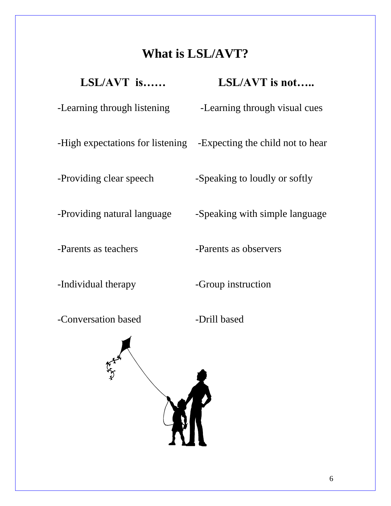# **What is LSL/AVT?**

| $LSL/AVT$ is                | $LSL/AVT$ is not                                                  |
|-----------------------------|-------------------------------------------------------------------|
| -Learning through listening | -Learning through visual cues                                     |
|                             | -High expectations for listening -Expecting the child not to hear |
| -Providing clear speech     | -Speaking to loudly or softly                                     |
| -Providing natural language | -Speaking with simple language                                    |
| -Parents as teachers        | -Parents as observers                                             |

-Individual therapy -Group instruction

-Conversation based -Drill based

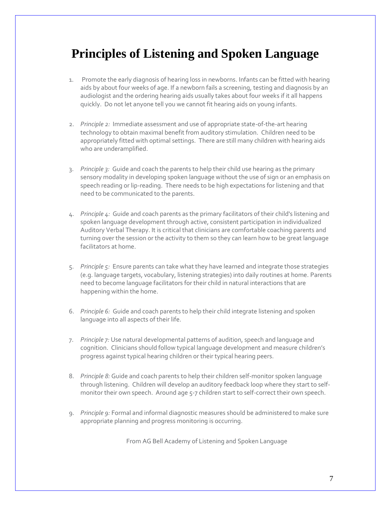## **Principles of Listening and Spoken Language**

- 1. Promote the early diagnosis of hearing loss in newborns. Infants can be fitted with hearing aids by about four weeks of age. If a newborn fails a screening, testing and diagnosis by an audiologist and the ordering hearing aids usually takes about four weeks if it all happens quickly. Do not let anyone tell you we cannot fit hearing aids on young infants.
- 2. *Principle 2:* Immediate assessment and use of appropriate state-of-the-art hearing technology to obtain maximal benefit from auditory stimulation. Children need to be appropriately fitted with optimal settings. There are still many children with hearing aids who are underamplified.
- 3. *Principle 3:* Guide and coach the parents to help their child use hearing as the primary sensory modality in developing spoken language without the use of sign or an emphasis on speech reading or lip-reading. There needs to be high expectations for listening and that need to be communicated to the parents.
- 4. *Principle 4:* Guide and coach parents as the primary facilitators of their child's listening and spoken language development through active, consistent participation in individualized Auditory Verbal Therapy. It is critical that clinicians are comfortable coaching parents and turning over the session or the activity to them so they can learn how to be great language facilitators at home.
- 5. *Principle 5:* Ensure parents can take what they have learned and integrate those strategies (e.g. language targets, vocabulary, listening strategies) into daily routines at home. Parents need to become language facilitators for their child in natural interactions that are happening within the home.
- 6. *Principle 6:* Guide and coach parents to help their child integrate listening and spoken language into all aspects of their life.
- 7. *Principle 7:* Use natural developmental patterns of audition, speech and language and cognition. Clinicians should follow typical language development and measure children's progress against typical hearing children or their typical hearing peers.
- 8. *Principle 8:* Guide and coach parents to help their children self-monitor spoken language through listening. Children will develop an auditory feedback loop where they start to selfmonitor their own speech. Around age 5-7 children start to self-correct their own speech.
- 9. *Principle 9:* Formal and informal diagnostic measures should be administered to make sure appropriate planning and progress monitoring is occurring.

From AG Bell Academy of Listening and Spoken Language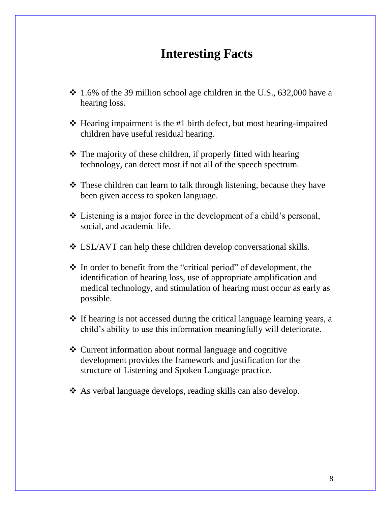### **Interesting Facts**

- $\div$  1.6% of the 39 million school age children in the U.S., 632,000 have a hearing loss.
- $\triangle$  Hearing impairment is the #1 birth defect, but most hearing-impaired children have useful residual hearing.
- $\triangle$  The majority of these children, if properly fitted with hearing technology, can detect most if not all of the speech spectrum.
- **◆** These children can learn to talk through listening, because they have been given access to spoken language.
- Listening is a major force in the development of a child's personal, social, and academic life.
- LSL/AVT can help these children develop conversational skills.
- $\hat{\mathbf{v}}$  In order to benefit from the "critical period" of development, the identification of hearing loss, use of appropriate amplification and medical technology, and stimulation of hearing must occur as early as possible.
- $\cdot$  If hearing is not accessed during the critical language learning years, a child's ability to use this information meaningfully will deteriorate.
- **❖** Current information about normal language and cognitive development provides the framework and justification for the structure of Listening and Spoken Language practice.
- \* As verbal language develops, reading skills can also develop.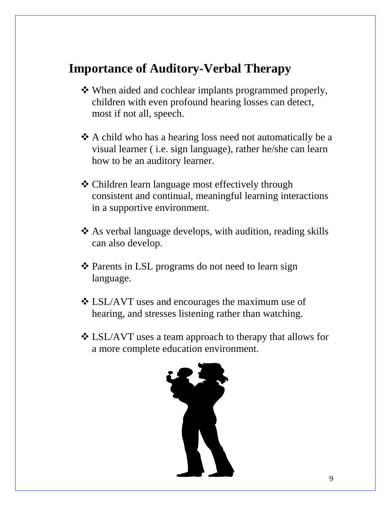# **Importance of Auditory-Verbal Therapy**

- When aided and cochlear implants programmed properly, children with even profound hearing losses can detect, most if not all, speech.
- A child who has a hearing loss need not automatically be a visual learner ( i.e. sign language), rather he/she can learn how to be an auditory learner.
- Children learn language most effectively through consistent and continual, meaningful learning interactions in a supportive environment.
- As verbal language develops, with audition, reading skills can also develop.
- ❖ Parents in LSL programs do not need to learn sign language.
- LSL/AVT uses and encourages the maximum use of hearing, and stresses listening rather than watching.
- LSL/AVT uses a team approach to therapy that allows for a more complete education environment.

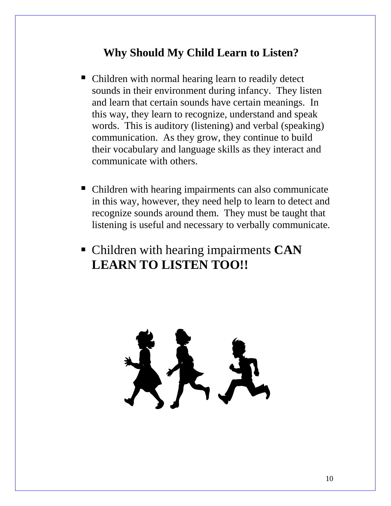### **Why Should My Child Learn to Listen?**

- Children with normal hearing learn to readily detect sounds in their environment during infancy. They listen and learn that certain sounds have certain meanings. In this way, they learn to recognize, understand and speak words. This is auditory (listening) and verbal (speaking) communication. As they grow, they continue to build their vocabulary and language skills as they interact and communicate with others.
- Children with hearing impairments can also communicate in this way, however, they need help to learn to detect and recognize sounds around them. They must be taught that listening is useful and necessary to verbally communicate.
- Children with hearing impairments **CAN LEARN TO LISTEN TOO!!**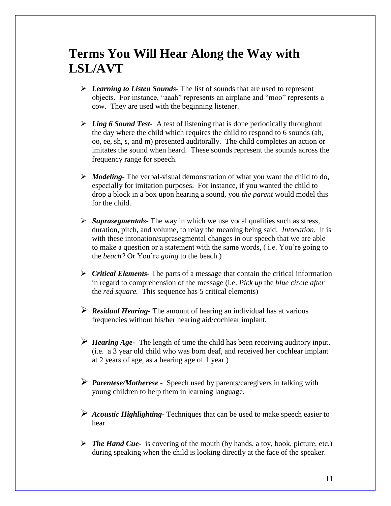## **Terms You Will Hear Along the Way with LSL/AVT**

- *Learning to Listen Sounds-* The list of sounds that are used to represent objects. For instance, "aaah" represents an airplane and "moo" represents a cow. They are used with the beginning listener.
- *Ling 6 Sound Test* A test of listening that is done periodically throughout the day where the child which requires the child to respond to 6 sounds (ah, oo, ee, sh, s, and m) presented auditorally. The child completes an action or imitates the sound when heard. These sounds represent the sounds across the frequency range for speech.
- *Modeling-* The verbal-visual demonstration of what you want the child to do, especially for imitation purposes. For instance, if you wanted the child to drop a block in a box upon hearing a sound, you *the parent* would model this for the child.
- *Suprasegmentals-* The way in which we use vocal qualities such as stress, duration, pitch, and volume, to relay the meaning being said. *Intonation*. It is with these intonation/suprasegmental changes in our speech that we are able to make a question or a statement with the same words, ( i.e. You're going to the *beach?* Or You're *going* to the beach.)
- *Critical Elements-* The parts of a message that contain the critical information in regard to comprehension of the message (i.e. *Pick up* the *blue circle after* the *red square.* This sequence has 5 critical elements)
- *Residual Hearing-* The amount of hearing an individual has at various frequencies without his/her hearing aid/cochlear implant.
- *Hearing Age-* The length of time the child has been receiving auditory input. (i.e. a 3 year old child who was born deaf, and received her cochlear implant at 2 years of age, as a hearing age of 1 year.)
- *Parentese/Motherese -* Speech used by parents/caregivers in talking with young children to help them in learning language.
- *Acoustic Highlighting-* Techniques that can be used to make speech easier to hear.
- $\triangleright$  **The Hand Cue-** is covering of the mouth (by hands, a toy, book, picture, etc.) during speaking when the child is looking directly at the face of the speaker.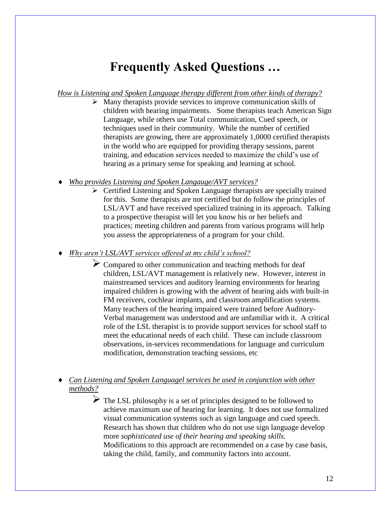## **Frequently Asked Questions …**

*How is Listening and Spoken Language therapy different from other kinds of therapy?*

- Many therapists provide services to improve communication skills of children with hearing impairments. Some therapists teach American Sign Language, while others use Total communication, Cued speech, or techniques used in their community. While the number of certified therapists are growing, there are approximately 1,0000 certified therapists in the world who are equipped for providing therapy sessions, parent training, and education services needed to maximize the child's use of hearing as a primary sense for speaking and learning at school.
- *Who provides Listening and Spoken Langauge/AVT services?*
	- $\triangleright$  Certified Listening and Spoken Language therapists are specially trained for this. Some therapists are not certified but do follow the principles of LSL/AVT and have received specialized training in its approach. Talking to a prospective therapist will let you know his or her beliefs and practices; meeting children and parents from various programs will help you assess the appropriateness of a program for your child.

*Why aren't LSL/AVT services offered at my child's school?*

- $\triangleright$  Compared to other communication and teaching methods for deaf children, LSL/AVT management is relatively new. However, interest in mainstreamed services and auditory learning environments for hearing impaired children is growing with the advent of hearing aids with built-in FM receivers, cochlear implants, and classroom amplification systems. Many teachers of the hearing impaired were trained before Auditory-Verbal management was understood and are unfamiliar with it. A critical role of the LSL therapist is to provide support services for school staff to meet the educational needs of each child. These can include classroom observations, in-services recommendations for language and curriculum modification, demonstration teaching sessions, etc
- *Can Listening and Spoken Languagel services be used in conjunction with other methods?*

 $\triangleright$  The LSL philosophy is a set of principles designed to be followed to achieve maximum use of hearing for learning. It does not use formalized visual communication systems such as sign language and cued speech. Research has shown that children who do not use sign language develop more *sophisticated use of their hearing and speaking skills.* Modifications to this approach are recommended on a case by case basis, taking the child, family, and community factors into account.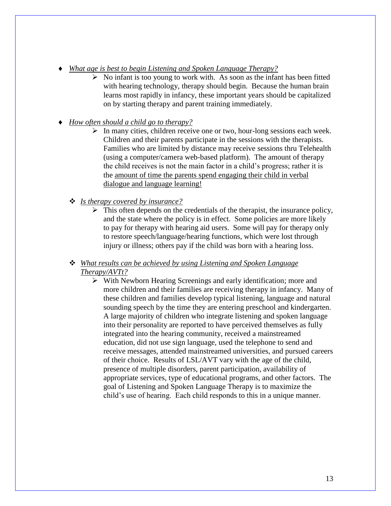- *What age is best to begin Listening and Spoken Language Therapy?*
	- $\triangleright$  No infant is too young to work with. As soon as the infant has been fitted with hearing technology, therapy should begin. Because the human brain learns most rapidly in infancy, these important years should be capitalized on by starting therapy and parent training immediately.
- *How often should a child go to therapy?*
	- $\triangleright$  In many cities, children receive one or two, hour-long sessions each week. Children and their parents participate in the sessions with the therapists. Families who are limited by distance may receive sessions thru Telehealth (using a computer/camera web-based platform). The amount of therapy the child receives is not the main factor in a child's progress; rather it is the amount of time the parents spend engaging their child in verbal dialogue and language learning!
	- *Is therapy covered by insurance?*
		- $\triangleright$  This often depends on the credentials of the therapist, the insurance policy, and the state where the policy is in effect. Some policies are more likely to pay for therapy with hearing aid users. Some will pay for therapy only to restore speech/language/hearing functions, which were lost through injury or illness; others pay if the child was born with a hearing loss.

#### *What results can be achieved by using Listening and Spoken Language Therapy/AVTt?*

 With Newborn Hearing Screenings and early identification; more and more children and their families are receiving therapy in infancy. Many of these children and families develop typical listening, language and natural sounding speech by the time they are entering preschool and kindergarten. A large majority of children who integrate listening and spoken language into their personality are reported to have perceived themselves as fully integrated into the hearing community, received a mainstreamed education, did not use sign language, used the telephone to send and receive messages, attended mainstreamed universities, and pursued careers of their choice. Results of LSL/AVT vary with the age of the child, presence of multiple disorders, parent participation, availability of appropriate services, type of educational programs, and other factors. The goal of Listening and Spoken Language Therapy is to maximize the child's use of hearing. Each child responds to this in a unique manner.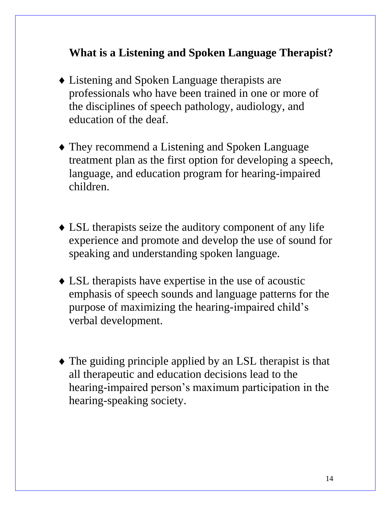### **What is a Listening and Spoken Language Therapist?**

- Listening and Spoken Language therapists are professionals who have been trained in one or more of the disciplines of speech pathology, audiology, and education of the deaf.
- They recommend a Listening and Spoken Language treatment plan as the first option for developing a speech, language, and education program for hearing-impaired children.
- LSL therapists seize the auditory component of any life experience and promote and develop the use of sound for speaking and understanding spoken language.
- LSL therapists have expertise in the use of acoustic emphasis of speech sounds and language patterns for the purpose of maximizing the hearing-impaired child's verbal development.
- The guiding principle applied by an LSL therapist is that all therapeutic and education decisions lead to the hearing-impaired person's maximum participation in the hearing-speaking society.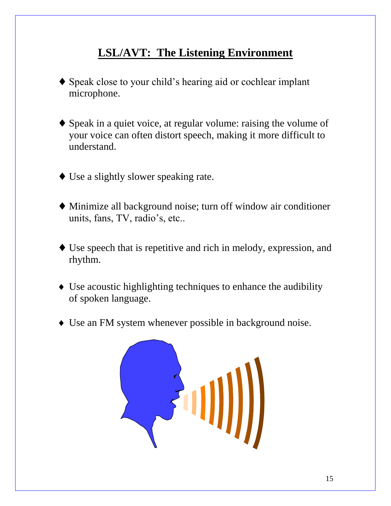## **LSL/AVT: The Listening Environment**

- Speak close to your child's hearing aid or cochlear implant microphone.
- Speak in a quiet voice, at regular volume: raising the volume of your voice can often distort speech, making it more difficult to understand.
- Use a slightly slower speaking rate.
- Minimize all background noise; turn off window air conditioner units, fans, TV, radio's, etc..
- Use speech that is repetitive and rich in melody, expression, and rhythm.
- Use acoustic highlighting techniques to enhance the audibility of spoken language.
- Use an FM system whenever possible in background noise.

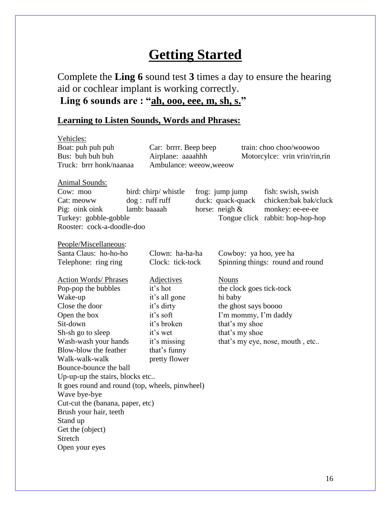# **Getting Started**

Complete the **Ling 6** sound test **3** times a day to ensure the hearing aid or cochlear implant is working correctly. **Ling 6 sounds are : "ah, ooo, eee, m, sh, s."**

### **Learning to Listen Sounds, Words and Phrases:**

| Vehicles:                                       |                |                               |                   |                                              |                                  |  |
|-------------------------------------------------|----------------|-------------------------------|-------------------|----------------------------------------------|----------------------------------|--|
| Boat: puh puh puh                               |                | Car: brrrr. Beep beep         |                   |                                              | train: choo choo/woowoo          |  |
| Bus: buh buh buh                                |                | Airplane: aaaahhh             |                   | Motorcylce: vrin vrin/rin, rin               |                                  |  |
| Truck: brrr honk/naanaa                         |                | Ambulance: weeow, weeow       |                   |                                              |                                  |  |
| <b>Animal Sounds:</b>                           |                |                               |                   |                                              |                                  |  |
| Cow: moo                                        |                | bird: chirp/ whistle          |                   | frog: jump jump                              | fish: swish, swish               |  |
| Cat: meoww                                      | dog: ruff ruff |                               | duck: quack-quack |                                              | chicken:bak bak/cluck            |  |
| Pig: oink oink                                  | lamb: baaaah   |                               |                   | horse: neigh &                               | monkey: ee-ee-ee                 |  |
| Turkey: gobble-gobble                           |                |                               |                   |                                              | Tongue click rabbit: hop-hop-hop |  |
| Rooster: cock-a-doodle-doo                      |                |                               |                   |                                              |                                  |  |
| People/Miscellaneous:                           |                |                               |                   |                                              |                                  |  |
| Santa Claus: ho-ho-ho                           |                | Clown: ha-ha-ha               |                   | Cowboy: ya hoo, yee ha                       |                                  |  |
| Telephone: ring ring                            |                | Clock: tick-tock              |                   |                                              | Spinning things: round and round |  |
|                                                 |                |                               |                   |                                              |                                  |  |
| <b>Action Words/ Phrases</b>                    |                | <b>Adjectives</b><br>it's hot |                   | <b>Nouns</b><br>the clock goes tick-tock     |                                  |  |
| Pop-pop the bubbles<br>Wake-up                  |                | it's all gone                 |                   | hi baby                                      |                                  |  |
| Close the door                                  |                | it's dirty                    |                   |                                              |                                  |  |
| Open the box                                    |                | it's soft                     |                   | the ghost says boooo<br>I'm mommy, I'm daddy |                                  |  |
| Sit-down                                        |                | it's broken                   |                   | that's my shoe                               |                                  |  |
| Sh-sh go to sleep                               |                | it's wet                      |                   | that's my shoe                               |                                  |  |
| Wash-wash your hands                            |                | it's missing                  |                   |                                              | that's my eye, nose, mouth, etc  |  |
| Blow-blow the feather                           |                | that's funny                  |                   |                                              |                                  |  |
| Walk-walk-walk                                  |                | pretty flower                 |                   |                                              |                                  |  |
| Bounce-bounce the ball                          |                |                               |                   |                                              |                                  |  |
| Up-up-up the stairs, blocks etc                 |                |                               |                   |                                              |                                  |  |
| It goes round and round (top, wheels, pinwheel) |                |                               |                   |                                              |                                  |  |
| Wave bye-bye                                    |                |                               |                   |                                              |                                  |  |
| Cut-cut the (banana, paper, etc)                |                |                               |                   |                                              |                                  |  |
| Brush your hair, teeth                          |                |                               |                   |                                              |                                  |  |
| Stand up                                        |                |                               |                   |                                              |                                  |  |
| Get the (object)                                |                |                               |                   |                                              |                                  |  |
| Stretch                                         |                |                               |                   |                                              |                                  |  |
| Open your eyes                                  |                |                               |                   |                                              |                                  |  |
|                                                 |                |                               |                   |                                              |                                  |  |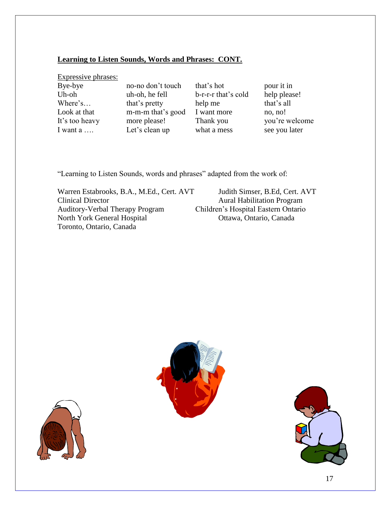#### **Learning to Listen Sounds, Words and Phrases: CONT.**

Expressive phrases:

Bye-bye no-no don't touch that's hot pour it in Uh-oh uh-oh, he fell b-r-r-r that's cold help please! Where's... that's pretty help me that's all Look at that m-m-m that's good I want more no, no! It's too heavy more please! Thank you you're welcome I want a …. Let's clean up what a mess see you later

"Learning to Listen Sounds, words and phrases" adapted from the work of:

Warren Estabrooks, B.A., M.Ed., Cert. AVT Judith Simser, B.Ed, Cert. AVT Clinical Director Aural Habilitation Program Auditory-Verbal Therapy Program Children's Hospital Eastern Ontario North York General Hospital Ottawa, Ontario, Canada Toronto, Ontario, Canada





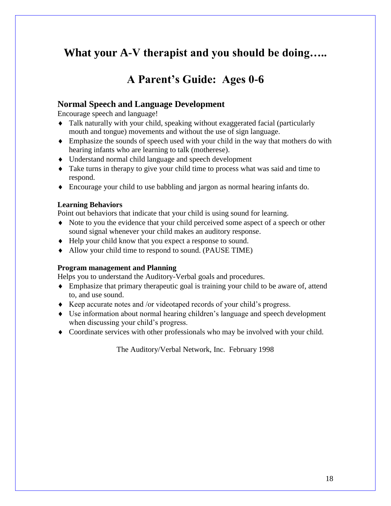### **What your A-V therapist and you should be doing…..**

### **A Parent's Guide: Ages 0-6**

#### **Normal Speech and Language Development**

Encourage speech and language!

- Talk naturally with your child, speaking without exaggerated facial (particularly mouth and tongue) movements and without the use of sign language.
- Emphasize the sounds of speech used with your child in the way that mothers do with hearing infants who are learning to talk (motherese).
- Understand normal child language and speech development
- Take turns in therapy to give your child time to process what was said and time to respond.
- Encourage your child to use babbling and jargon as normal hearing infants do.

#### **Learning Behaviors**

Point out behaviors that indicate that your child is using sound for learning.

- Note to you the evidence that your child perceived some aspect of a speech or other sound signal whenever your child makes an auditory response.
- Help your child know that you expect a response to sound.
- Allow your child time to respond to sound. (PAUSE TIME)

#### **Program management and Planning**

Helps you to understand the Auditory-Verbal goals and procedures.

- Emphasize that primary therapeutic goal is training your child to be aware of, attend to, and use sound.
- Keep accurate notes and /or videotaped records of your child's progress.
- Use information about normal hearing children's language and speech development when discussing your child's progress.
- Coordinate services with other professionals who may be involved with your child.

The Auditory/Verbal Network, Inc. February 1998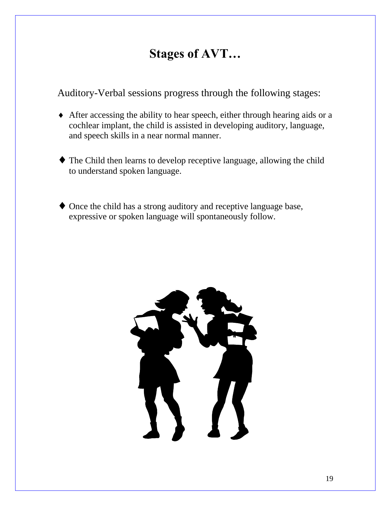# **Stages of AVT…**

Auditory-Verbal sessions progress through the following stages:

- After accessing the ability to hear speech, either through hearing aids or a cochlear implant, the child is assisted in developing auditory, language, and speech skills in a near normal manner.
- The Child then learns to develop receptive language, allowing the child to understand spoken language.
- Once the child has a strong auditory and receptive language base, expressive or spoken language will spontaneously follow.

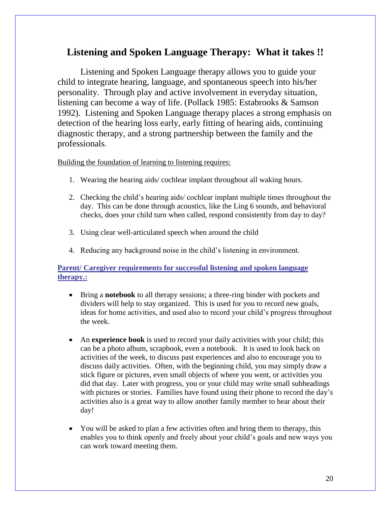### **Listening and Spoken Language Therapy: What it takes !!**

Listening and Spoken Language therapy allows you to guide your child to integrate hearing, language, and spontaneous speech into his/her personality. Through play and active involvement in everyday situation, listening can become a way of life. (Pollack 1985: Estabrooks & Samson 1992). Listening and Spoken Language therapy places a strong emphasis on detection of the hearing loss early, early fitting of hearing aids, continuing diagnostic therapy, and a strong partnership between the family and the professionals.

#### Building the foundation of learning to listening requires:

- 1. Wearing the hearing aids/ cochlear implant throughout all waking hours.
- 2. Checking the child's hearing aids/ cochlear implant multiple times throughout the day. This can be done through acoustics, like the Ling 6 sounds, and behavioral checks, does your child turn when called, respond consistently from day to day?
- 3. Using clear well-articulated speech when around the child
- 4. Reducing any background noise in the child's listening in environment.

#### **Parent/ Caregiver requirements for successful listening and spoken language therapy.:**

- Bring a **notebook** to all therapy sessions; a three-ring binder with pockets and dividers will help to stay organized. This is used for you to record new goals, ideas for home activities, and used also to record your child's progress throughout the week.
- An **experience book** is used to record your daily activities with your child; this can be a photo album, scrapbook, even a notebook. It is used to look back on activities of the week, to discuss past experiences and also to encourage you to discuss daily activities. Often, with the beginning child, you may simply draw a stick figure or pictures, even small objects of where you went, or activities you did that day. Later with progress, you or your child may write small subheadings with pictures or stories. Families have found using their phone to record the day's activities also is a great way to allow another family member to hear about their day!
- You will be asked to plan a few activities often and bring them to therapy, this enables you to think openly and freely about your child's goals and new ways you can work toward meeting them.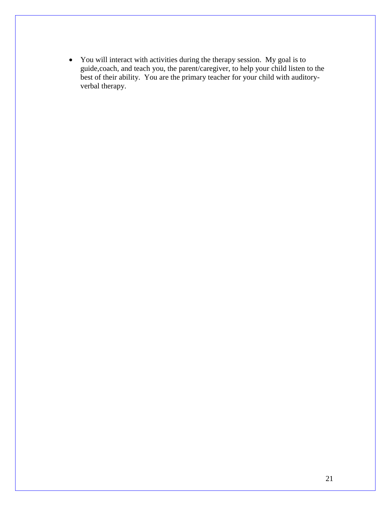You will interact with activities during the therapy session. My goal is to guide,coach, and teach you, the parent/caregiver, to help your child listen to the best of their ability. You are the primary teacher for your child with auditoryverbal therapy.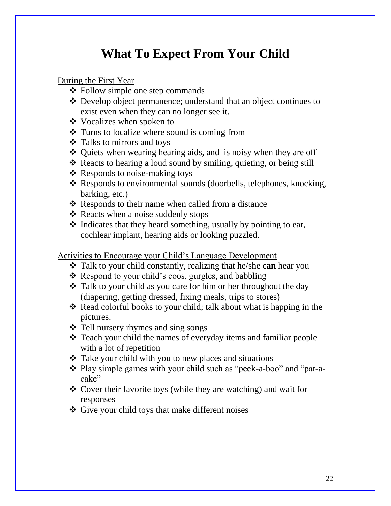# **What To Expect From Your Child**

### During the First Year

- Follow simple one step commands
- Develop object permanence; understand that an object continues to exist even when they can no longer see it.
- **❖** Vocalizes when spoken to
- $\triangleleft$  Turns to localize where sound is coming from
- Talks to mirrors and toys
- ◆ Quiets when wearing hearing aids, and is noisy when they are off
- \* Reacts to hearing a loud sound by smiling, quieting, or being still
- $\triangleleft$  Responds to noise-making toys
- \* Responds to environmental sounds (doorbells, telephones, knocking, barking, etc.)
- $\triangle$  Responds to their name when called from a distance
- $\triangleleft$  Reacts when a noise suddenly stops
- $\triangle$  Indicates that they heard something, usually by pointing to ear, cochlear implant, hearing aids or looking puzzled.

Activities to Encourage your Child's Language Development

- Talk to your child constantly, realizing that he/she **can** hear you
- $\triangleleft$  Respond to your child's coos, gurgles, and babbling
- \* Talk to your child as you care for him or her throughout the day (diapering, getting dressed, fixing meals, trips to stores)
- $\triangle$  Read colorful books to your child; talk about what is happing in the pictures.
- Tell nursery rhymes and sing songs
- Teach your child the names of everyday items and familiar people with a lot of repetition
- Take your child with you to new places and situations
- Play simple games with your child such as "peek-a-boo" and "pat-acake"
- Cover their favorite toys (while they are watching) and wait for responses
- Give your child toys that make different noises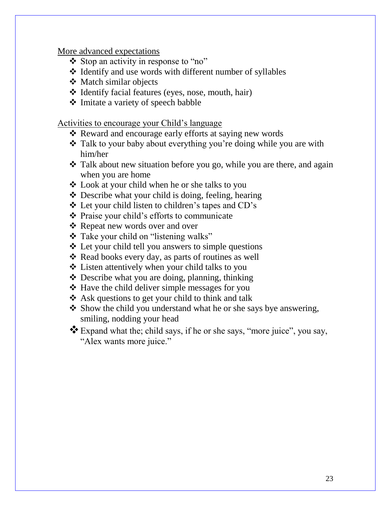More advanced expectations

- Stop an activity in response to "no"
- Identify and use words with different number of syllables
- Match similar objects
- Identify facial features (eyes, nose, mouth, hair)
- Imitate a variety of speech babble

Activities to encourage your Child's language

- **❖** Reward and encourage early efforts at saying new words
- Talk to your baby about everything you're doing while you are with him/her
- $\cdot$  Talk about new situation before you go, while you are there, and again when you are home
- Look at your child when he or she talks to you
- $\triangle$  Describe what your child is doing, feeling, hearing
- Let your child listen to children's tapes and CD's
- Praise your child's efforts to communicate
- ❖ Repeat new words over and over
- Take your child on "listening walks"
- Let your child tell you answers to simple questions
- $\triangle$  Read books every day, as parts of routines as well
- Listen attentively when your child talks to you
- Describe what you are doing, planning, thinking
- $\triangle$  Have the child deliver simple messages for you
- $\triangle$  Ask questions to get your child to think and talk
- Show the child you understand what he or she says bye answering, smiling, nodding your head
- Expand what the; child says, if he or she says, "more juice", you say, "Alex wants more juice."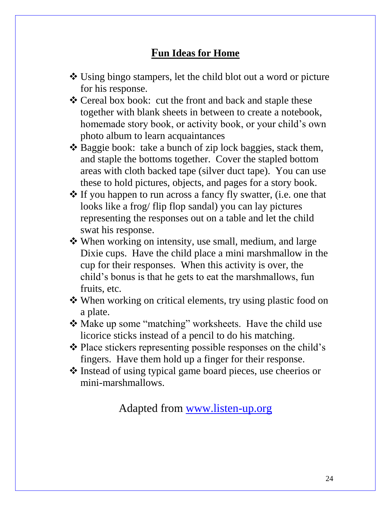### **Fun Ideas for Home**

- Using bingo stampers, let the child blot out a word or picture for his response.
- ❖ Cereal box book: cut the front and back and staple these together with blank sheets in between to create a notebook, homemade story book, or activity book, or your child's own photo album to learn acquaintances
- ◆ Baggie book: take a bunch of zip lock baggies, stack them, and staple the bottoms together. Cover the stapled bottom areas with cloth backed tape (silver duct tape). You can use these to hold pictures, objects, and pages for a story book.
- If you happen to run across a fancy fly swatter, (i.e. one that looks like a frog/ flip flop sandal) you can lay pictures representing the responses out on a table and let the child swat his response.
- When working on intensity, use small, medium, and large Dixie cups. Have the child place a mini marshmallow in the cup for their responses. When this activity is over, the child's bonus is that he gets to eat the marshmallows, fun fruits, etc.
- When working on critical elements, try using plastic food on a plate.
- Make up some "matching" worksheets. Have the child use licorice sticks instead of a pencil to do his matching.
- $\triangle$  Place stickers representing possible responses on the child's fingers. Have them hold up a finger for their response.
- Instead of using typical game board pieces, use cheerios or mini-marshmallows.

Adapted from [www.listen-up.org](http://www.listen-up.org/)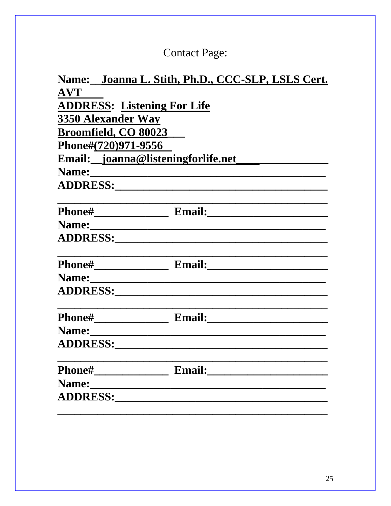# **Contact Page:**

| Name: Joanna L. Stith, Ph.D., CCC-SLP, LSLS Cert.        |                                                                                                                                                                                                                                |  |  |  |  |
|----------------------------------------------------------|--------------------------------------------------------------------------------------------------------------------------------------------------------------------------------------------------------------------------------|--|--|--|--|
| <b>AVT</b>                                               |                                                                                                                                                                                                                                |  |  |  |  |
| <b>ADDRESS: Listening For Life</b><br>3350 Alexander Way |                                                                                                                                                                                                                                |  |  |  |  |
|                                                          |                                                                                                                                                                                                                                |  |  |  |  |
| Phone#(720)971-9556                                      |                                                                                                                                                                                                                                |  |  |  |  |
|                                                          |                                                                                                                                                                                                                                |  |  |  |  |
|                                                          | Name: Manuel Communication of the Communication of the Communication of the Communication of the Communication of the Communication of the Communication of the Communication of the Communication of the Communication of the |  |  |  |  |
|                                                          |                                                                                                                                                                                                                                |  |  |  |  |
|                                                          |                                                                                                                                                                                                                                |  |  |  |  |
|                                                          |                                                                                                                                                                                                                                |  |  |  |  |
|                                                          |                                                                                                                                                                                                                                |  |  |  |  |
|                                                          |                                                                                                                                                                                                                                |  |  |  |  |
|                                                          | Name:                                                                                                                                                                                                                          |  |  |  |  |
|                                                          |                                                                                                                                                                                                                                |  |  |  |  |
|                                                          |                                                                                                                                                                                                                                |  |  |  |  |
|                                                          |                                                                                                                                                                                                                                |  |  |  |  |
|                                                          |                                                                                                                                                                                                                                |  |  |  |  |
|                                                          |                                                                                                                                                                                                                                |  |  |  |  |
|                                                          |                                                                                                                                                                                                                                |  |  |  |  |
|                                                          |                                                                                                                                                                                                                                |  |  |  |  |
|                                                          |                                                                                                                                                                                                                                |  |  |  |  |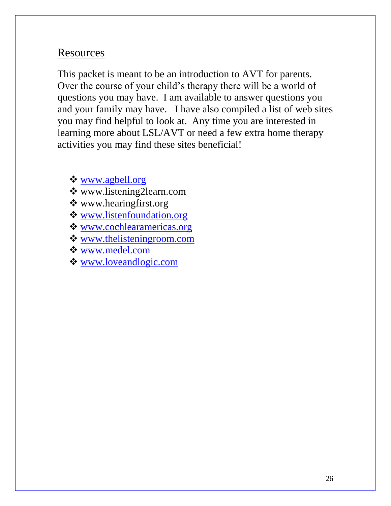### Resources

This packet is meant to be an introduction to AVT for parents. Over the course of your child's therapy there will be a world of questions you may have. I am available to answer questions you and your family may have. I have also compiled a list of web sites you may find helpful to look at. Any time you are interested in learning more about LSL/AVT or need a few extra home therapy activities you may find these sites beneficial!

[www.agbell.org](http://www.agbell.org/)

- www.listening2learn.com
- www.hearingfirst.org
- [www.listenfoundation.org](http://www.listenfoundation.org/)
- [www.cochlearamericas.org](http://www.cochlearamericas.org/)
- [www.thelisteningroom.com](http://www.thelisteningroom.com/)
- [www.medel.com](http://www.medel.com/)
- [www.loveandlogic.com](http://www.loveandlogic.com/)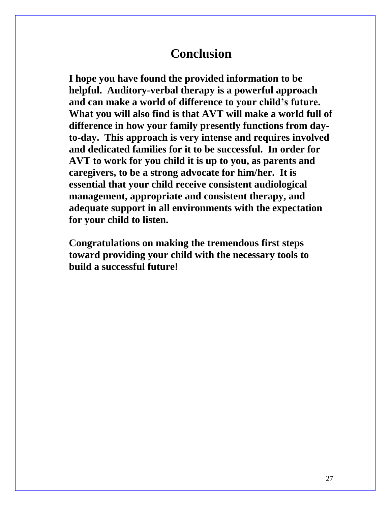### **Conclusion**

**I hope you have found the provided information to be helpful. Auditory-verbal therapy is a powerful approach and can make a world of difference to your child's future. What you will also find is that AVT will make a world full of difference in how your family presently functions from dayto-day. This approach is very intense and requires involved and dedicated families for it to be successful. In order for AVT to work for you child it is up to you, as parents and caregivers, to be a strong advocate for him/her. It is essential that your child receive consistent audiological management, appropriate and consistent therapy, and adequate support in all environments with the expectation for your child to listen.** 

**Congratulations on making the tremendous first steps toward providing your child with the necessary tools to build a successful future!**